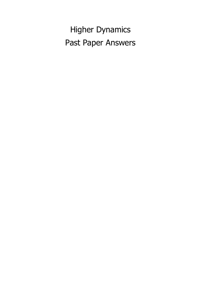Higher Dynamics Past Paper Answers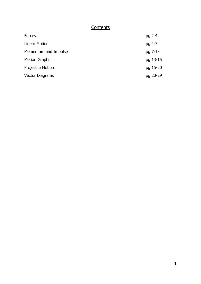#### **Contents**

| Forces                   | pg 2-4   |
|--------------------------|----------|
| <b>Linear Motion</b>     | pg 4-7   |
| Momentum and Impulse     | pg 7-13  |
| <b>Motion Graphs</b>     | pg 13-15 |
| <b>Projectile Motion</b> | pg 15-20 |
| <b>Vector Diagrams</b>   | pg 20-29 |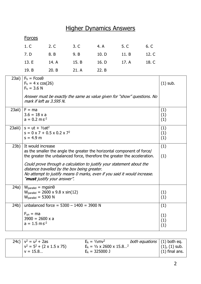# Higher Dynamics Answers

#### **Forces**

|                         |  | 1. C 2. C 3. C 4. A 5. C 6. C       |  |
|-------------------------|--|-------------------------------------|--|
|                         |  | 7. D 8. B 9. B 10. D 11. B 12. C    |  |
|                         |  | 13. E 14. A 15. B 16. D 17. A 18. C |  |
| 19. B 20. B 21. A 22. B |  |                                     |  |

|         | 23ai) $F_h = F \cos \theta$<br>$F_h = 4 \times cos(26)$<br>$F_h = 3.6 N$<br>Answer must be exactly the same as value given for "show" questions. No<br>mark if left as 3.595 N.                                                                                                                                                                                                                                       | $(1)$ sub.               |
|---------|-----------------------------------------------------------------------------------------------------------------------------------------------------------------------------------------------------------------------------------------------------------------------------------------------------------------------------------------------------------------------------------------------------------------------|--------------------------|
|         | $23ai$ i)   F = ma<br>$3.6 = 18 \times a$<br>$a = 0.2$ m s <sup>-2</sup>                                                                                                                                                                                                                                                                                                                                              | (1)<br>(1)<br>(1)        |
| 23aiii) | $s = ut + V2at2$<br>$s = 0 \times 7 + 0.5 \times 0.2 \times 7^2$<br>$s = 4.9 m$                                                                                                                                                                                                                                                                                                                                       | (1)<br>(1)<br>(1)        |
| 23b)    | It would increase<br>as the smaller the angle the greater the horizontal component of force/<br>the greater the unbalanced force, therefore the greater the acceleration.<br>Could prove through a calculation to justify your statement about the<br>distance travelled by the box being greater.<br>No attempt to justify means 0 marks, even if you said it would increase.<br>" <b>must</b> justify your answer". | (1)<br>(1)               |
| 24a)    | $W_{\text{parallel}} = \text{mgsin}\theta$<br>$W_{\text{parallel}} = 2600 \times 9.8 \times \sin(12)$<br>$Wparallel = 5300 N$                                                                                                                                                                                                                                                                                         | (1)<br>(1)               |
| 24b)    | unbalanced force = $5300 - 1400 = 3900$ N<br>$F_{un} = ma$<br>$3900 = 2600 \times a$<br>$a = 1.5$ m s <sup>-2</sup>                                                                                                                                                                                                                                                                                                   | (1)<br>(1)<br>(1)<br>(1) |

| $(1)$ final ans.<br>$E_k = 325000$ J<br>$v = 15.8$ |  | 24c) $ v^2 = u^2 + 2as$<br>$v^2 = 5^2 + (2 \times 1.5 \times 75)$ | $E_k = \frac{1}{2}mv^2$<br>$E_k = \frac{1}{2} \times 2600 \times 15.8^2$ | <i>both equations</i> $(1)$ both eq. | $(1), (1)$ sub. |
|----------------------------------------------------|--|-------------------------------------------------------------------|--------------------------------------------------------------------------|--------------------------------------|-----------------|
|----------------------------------------------------|--|-------------------------------------------------------------------|--------------------------------------------------------------------------|--------------------------------------|-----------------|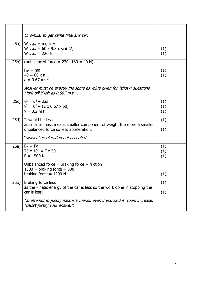|      | Or similar to get same final answer.                                                                                                         |                   |
|------|----------------------------------------------------------------------------------------------------------------------------------------------|-------------------|
|      |                                                                                                                                              |                   |
| 25a) | $W_{\text{parallel}} = \text{mgsin}\theta$<br>$W_{\text{parallel}} = 60 \times 9.8 \times \sin(22)$<br>$W_{\text{parallel}} = 220 \text{ N}$ | (1)<br>(1)        |
| 25b) | (unbalanced force = $220 -180 = 40$ N)                                                                                                       |                   |
|      | $F_{un} = ma$<br>$40 = 60 \times a$<br>$a = 0.67$ ms <sup>-2</sup>                                                                           | (1)<br>(1)        |
|      | Answer must be exactly the same as value given for "show" questions.<br>Mark off if left as 0.667 ms <sup>-2</sup> .                         |                   |
|      | 25c) $ v^2 = u^2 + 2as$<br>$v^2 = 0^2 + (2 \times 0.67 \times 50)$<br>$v = 8.2 \text{ m s}^{-1}$                                             | (1)<br>(1)<br>(1) |
| 25d) | It would be less<br>as smaller mass means smaller component of weight therefore a smaller<br>unbalanced force so less acceleration.          | (1)<br>(1)        |
|      | "slower" acceleration not accepted.                                                                                                          |                   |
| 26a) | $E_w = Fd$<br>$75 \times 10^3 = F \times 50$<br>$F = 1500 N$                                                                                 | (1)<br>(1)<br>(1) |
|      | Unbalanced force = braking force + friction<br>$1500 =$ braking force + 300<br>braking force $= 1200$ N                                      | (1)               |
| 26b) | Braking force less<br>as the kinetic energy of the car is less so the work done in stopping the<br>car is less.                              | (1)               |
|      |                                                                                                                                              | (1)               |
|      | No attempt to justify means 0 marks, even if you said it would increase.<br>" <b>must</b> justify your answer".                              |                   |
|      |                                                                                                                                              |                   |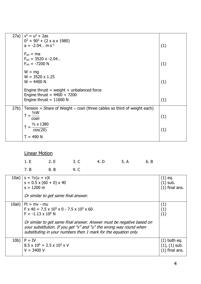| 27a) | $v^2 = u^2 + 2as$                                                                  |     |
|------|------------------------------------------------------------------------------------|-----|
|      | $0^2 = 90^2 + (2 \times a \times 1980)$                                            |     |
|      | $a = -2.04$ m s <sup>-1</sup>                                                      | (1) |
|      | $F_{un} = ma$                                                                      |     |
|      | $F_{un}$ = 3520 x -2.04                                                            |     |
|      | $F_{un} = -7200$ N                                                                 | (1) |
|      |                                                                                    |     |
|      | $W = mg$                                                                           |     |
|      | $W = 3520 \times 1.25$                                                             |     |
|      | $W = 4400 N$                                                                       | (1) |
|      | Engine thrust = weight + unbalanced force                                          |     |
|      | Engine thrust = $4400 + 7200$                                                      |     |
|      | Engine thrust = $11600$ N                                                          | (1) |
|      |                                                                                    |     |
| 27b) | Tension = Share of Weight $\div \cos\theta$ (three cables so third of weight each) |     |
|      | $T = \frac{V_3 W}{\cos \theta}$                                                    | (1) |
|      |                                                                                    |     |
|      | $\frac{1}{3} \times 1380$                                                          |     |
|      | cos(20)                                                                            | (1) |
|      | $T = 490 N$                                                                        |     |
|      |                                                                                    |     |

#### Linear Motion

|                | 1. E 2. E 3. C 4. D 5. A 6. B |  |
|----------------|-------------------------------|--|
| 7. B 8. B 9. C |                               |  |

|          | 10ai) $ s = \frac{1}{2}(u + v)t$<br>$s = 0.5 \times (60 + 0) \times 40$<br>$s = 1200$ m<br>Or similar to get same final answer.                                                                                                                                                                                                       | $(1)$ eq.<br>$(1)$ sub.<br>$(1)$ final ans.              |
|----------|---------------------------------------------------------------------------------------------------------------------------------------------------------------------------------------------------------------------------------------------------------------------------------------------------------------------------------------|----------------------------------------------------------|
| $10ai$ ) | $Ft = mv - mu$<br>$F \times 40 = 7.5 \times 10^5 \times 0 - 7.5 \times 10^5 \times 60$<br>$F = -1.13 \times 10^6$ N<br>Or similar to get same final answer. Answer must be negative based on<br>your substitution. If you get "v" and "u" the wrong way round when<br>substituting in your numbers then 1 mark for the equation only. | (1)<br>(1)<br>(1)                                        |
| 10b)     | $P = IV$<br>$8.5 \times 10^6 = 2.5 \times 10^3 \times V$<br>$V = 3400 V$                                                                                                                                                                                                                                                              | $(1)$ both eq.<br>$(1)$ , $(1)$ sub.<br>$(1)$ final ans. |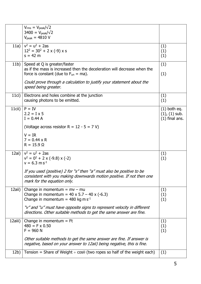|                 | $V_{rms} = V_{peak}/\sqrt{2}$<br>$3400 = V_{\text{peak}}/\sqrt{2}$<br>$V_{peak} = 4810 V$                                                                                                                                       |                                                          |
|-----------------|---------------------------------------------------------------------------------------------------------------------------------------------------------------------------------------------------------------------------------|----------------------------------------------------------|
|                 | 11a) $ v^2 = u^2 + 2as$<br>$12^2 = 30^2 + 2 \times (-9) \times s$<br>$s = 42 m$                                                                                                                                                 | (1)<br>(1)<br>(1)                                        |
| 11 <sub>b</sub> | Speed at Q is greater/faster<br>as if the mass is increased then the deceleration will decrease when the<br>force is constant (due to $F_{un} = ma$ ).<br>Could prove through a calculation to justify your statement about the | (1)<br>(1)                                               |
|                 | speed being greater.                                                                                                                                                                                                            |                                                          |
| 11ci)           | Electrons and holes combine at the junction<br>causing photons to be emitted.                                                                                                                                                   | (1)<br>(1)                                               |
| $11$ cii)       | $P = IV$<br>$2.2 = I \times 5$<br>$I = 0.44 A$                                                                                                                                                                                  | $(1)$ both eq.<br>$(1)$ , $(1)$ sub.<br>$(1)$ final ans. |
|                 | (Voltage across resistor R = $12 - 5 = 7$ V)                                                                                                                                                                                    |                                                          |
|                 | $V = IR$<br>$7 = 0.44 \times R$<br>$R = 15.9 \Omega$                                                                                                                                                                            |                                                          |
| 12ai)           | $v^2 = u^2 + 2as$<br>$v^2 = 0^2 + 2 \times (-9.8) \times (-2)$<br>$v = 6.3$ m s <sup>-1</sup><br>If you used (positive) 2 for "s" then "a" must also be positive to be                                                          | (1)<br>(1)                                               |
|                 | consistent with you making downwards motion positive. If not then one<br>mark for the equation only.                                                                                                                            |                                                          |
| 12aii)          | Change in momentum = $mv - mu$<br>Change in momentum = $40 \times 5.7 - 40 \times (-6.3)$<br>Change in momentum = 480 kg m $s^{-1}$                                                                                             | (1)<br>(1)<br>(1)                                        |
|                 | "v" and "u" must have opposite signs to represent velocity in different<br>directions. Other suitable methods to get the same answer are fine.                                                                                  |                                                          |
| 12aiii)         | Change in momentum $=$ Ft<br>$480 = F \times 0.50$<br>$F = 960 N$                                                                                                                                                               | (1)<br>(1)<br>(1)                                        |
|                 | Other suitable methods to get the same answer are fine. If answer is<br>negative, based on your answer to 12aii) being negative, this is fine.                                                                                  |                                                          |
| 12b)            | Tension = Share of Weight $\div \cos\theta$ (two ropes so half of the weight each)                                                                                                                                              | (1)                                                      |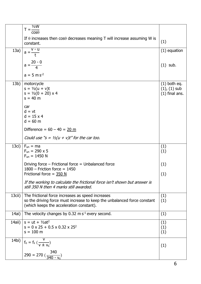|           | 1/2W<br>$T = \frac{1}{\cos \theta}$                                                                                                                                       |                                                         |
|-----------|---------------------------------------------------------------------------------------------------------------------------------------------------------------------------|---------------------------------------------------------|
|           | If $\theta$ increases then $cos\theta$ decreases meaning T will increase assuming W is<br>constant.                                                                       | (1)                                                     |
| 13a)      | _ v - u<br>$a = \frac{1}{t}$                                                                                                                                              | $(1)$ equation                                          |
|           | $a = \frac{20 - 0}{4}$                                                                                                                                                    | $(1)$ sub.                                              |
|           | $a = 5$ m s <sup>-2</sup>                                                                                                                                                 |                                                         |
| 13b)      | motorcycle<br>$s = \frac{1}{2}(u + v)t$<br>$s = \frac{1}{2}(0 + 20) \times 4$<br>$s = 40 m$                                                                               | $(1)$ both eq.<br>$(1)$ , $(1)$ sub<br>$(1)$ final ans. |
|           | car<br>$d = vt$<br>$d = 15 \times 4$<br>$d = 60$ m                                                                                                                        |                                                         |
|           | Difference = $60 - 40 = 20$ m                                                                                                                                             |                                                         |
|           | Could use "s = $\frac{1}{2}(u + v)t$ " for the car too.                                                                                                                   |                                                         |
| 13ci)     | $F_{un} = ma$<br>$F_{un} = 290 \times 5$<br>$F_{un} = 1450 N$                                                                                                             | (1)<br>(1)                                              |
|           | Driving force – Frictional force = Unbalanced force<br>$1800$ - Friction force = 1450                                                                                     | (1)                                                     |
|           | Frictional force = $350 N$<br>If the working to calculate the frictional force isn't shown but answer is<br>still 350 N then 4 marks still awarded.                       | (1)                                                     |
| $13$ cii) | The frictional force increases as speed increases<br>so the driving force must increase to keep the unbalanced force constant<br>(which keeps the acceleration constant). | (1)<br>(1)                                              |
| 14ai)     | The velocity changes by 0.32 m $s^{-1}$ every second.                                                                                                                     | (1)                                                     |
| 14aii)    | $s = ut + V_2at^2$<br>$s = 0 \times 25 + 0.5 \times 0.32 \times 25^2$<br>$s = 100$ m                                                                                      | (1)<br>(1)<br>(1)                                       |
|           | 14bi) $f_0 = f_s \left(\frac{v}{v \pm v_s}\right)$                                                                                                                        | (1)                                                     |
|           | $290 = 270 \left( \frac{340}{340 - x_s} \right)$                                                                                                                          |                                                         |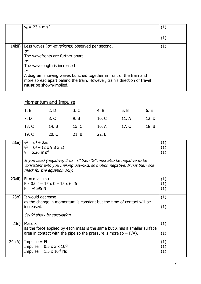|        | $v_s = 23.4$ m s <sup>-1</sup>                                                                                                                                                  | (1) |
|--------|---------------------------------------------------------------------------------------------------------------------------------------------------------------------------------|-----|
|        |                                                                                                                                                                                 | (1) |
| 14bii) | Less waves (or wavefronts) observed per second.                                                                                                                                 | (1) |
|        | or                                                                                                                                                                              |     |
|        | The wavefronts are further apart                                                                                                                                                |     |
|        | or                                                                                                                                                                              |     |
|        | The wavelength is increased                                                                                                                                                     |     |
|        | or                                                                                                                                                                              |     |
|        | A diagram showing waves bunched together in front of the train and<br>more spread apart behind the train. However, train's direction of travel<br><b>must</b> be shown/implied. |     |

## Momentum and Impulse

|                         |  | 1. B 2. D 3. C 4. B 5. B 6. E       |  |
|-------------------------|--|-------------------------------------|--|
|                         |  | 7. D 8. C 9. B 10. C 11. A 12. D    |  |
|                         |  | 13. C 14. B 15. C 16. A 17. C 18. B |  |
| 19. C 20. C 21. B 22. E |  |                                     |  |

|        | 23ai) $v^2 = u^2 + 2as$<br>$v^2 = 0^2 + (2 \times 9.8 \times 2)$<br>$v = 6.26$ m s <sup>-1</sup>                                                                              | (1)<br>(1)<br>(1) |
|--------|-------------------------------------------------------------------------------------------------------------------------------------------------------------------------------|-------------------|
|        | If you used (negative) 2 for "s" then "a" must also be negative to be<br>consistent with you making downwards motion negative. If not then one<br>mark for the equation only. |                   |
| 23aii) | $Ft = mv - mu$<br>$F \times 0.02 = 15 \times 0 - 15 \times 6.26$<br>$F = -4695 N$                                                                                             | (1)<br>(1)<br>(1) |
| 23b)   | It would decrease<br>as the change in momentum is constant but the time of contact will be<br>increased.<br>Could show by calculation.                                        | (1)<br>(1)        |
| 23c)   | Mass X                                                                                                                                                                        | (1)               |
|        | as the force applied by each mass is the same but X has a smaller surface<br>area in contact with the pipe so the pressure is more ( $p = F/A$ ).                             | (1)               |
| 24aiA) | Impulse $=$ Ft<br>Impulse = $0.5 \times 3 \times 10^{-3}$<br>Impulse = $1.5 \times 10^{-3}$ Ns                                                                                | (1)<br>(1)<br>(1) |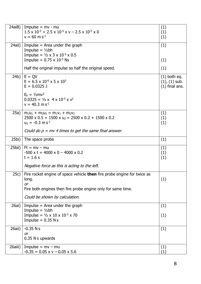| 24aiB)   | $Impulse = mv - mu$<br>$1.5 \times 10^{-3} = 2.5 \times 10^{-5} \times v - 2.5 \times 10^{-5} \times 0$        | (1)<br>(1)                             |
|----------|----------------------------------------------------------------------------------------------------------------|----------------------------------------|
|          | $v = 60$ m s <sup>-1</sup>                                                                                     | (1)                                    |
| 24aii)   | Impulse $=$ Area under the graph                                                                               | (1)                                    |
|          | Impulse = $1/2bh$<br>Impulse = $\frac{1}{2} \times 3 \times 10^{-3} \times 0.5$                                |                                        |
|          | Impulse = $0.75 \times 10^{-3}$ Ns                                                                             | (1)                                    |
|          | Half the original impulse so half the original speed.                                                          | (1)                                    |
| 24b)     | $E = QV$                                                                                                       | $(1)$ both eq.                         |
|          | $E = 6.5 \times 10^{-6} \times 5 \times 10^{3}$<br>$E = 0.0325$ J                                              | $(1)$ , $(1)$ sub.<br>$(1)$ final ans. |
|          |                                                                                                                |                                        |
|          | $E_k = 1/2mv^2$<br>$0.0325 = \frac{1}{2} \times 4 \times 10^{-5} \times \sqrt{2}$                              |                                        |
|          | $v = 40.3$ m s <sup>-1</sup>                                                                                   |                                        |
|          |                                                                                                                |                                        |
| 25a)     | $m_1u_1 + m_2u_2 = m_1v_1 + m_2v_2$<br>$2500 \times 0.5 + 1500 \times u_2 = 2500 \times 0.2 + 1500 \times 0.2$ | (1)<br>(1)                             |
|          | $u_2 = -0.3$ m s <sup>-1</sup>                                                                                 | (1)                                    |
|          | Could do $p = mv$ 4 times to get the same final answer.                                                        |                                        |
|          |                                                                                                                |                                        |
| 25bi)    | The space probe                                                                                                | (1)                                    |
| 25bii)   | $Ft = mv - mu$                                                                                                 | (1)                                    |
|          | $-500 \times t = 4000 \times 0 - 4000 \times 0.2$<br>$t = 1.6 s$                                               | (1)<br>(1)                             |
|          |                                                                                                                |                                        |
|          | Negative force as this is acting to the left.                                                                  |                                        |
|          | 25c)   Fire rocket engine of space vehicle then fire probe engine for twice as                                 |                                        |
|          | long.<br><b>or</b>                                                                                             | (1)                                    |
|          | Fire both engines then fire probe engine only for same time.                                                   |                                        |
|          | Could be shown by calculation.                                                                                 |                                        |
|          |                                                                                                                |                                        |
| 26ai)    | Impulse $=$ Area under the graph                                                                               | (1)                                    |
|          | Impulse = $1/2bh$<br>Impulse = $\frac{1}{2} \times 10 \times 10^{-3} \times 70$                                | (1)                                    |
|          | Impulse = $0.35$ N s                                                                                           |                                        |
| $26ai$ ) | $-0.35$ Ns                                                                                                     | (1)                                    |
|          | <b>or</b>                                                                                                      |                                        |
|          | 0.35 N s upwards                                                                                               |                                        |
| 26aiii)  | $Impulse = mv - mu$                                                                                            | (1)                                    |
|          | $-0.35 = 0.05 \times v - 0.05 \times 5.6$                                                                      | (1)                                    |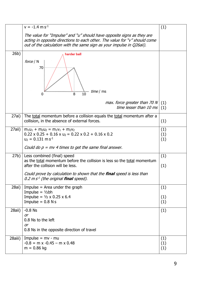|          | $v = -1.4$ m s <sup>-1</sup>                                                                                                                                                                                                                                                 | (1)               |
|----------|------------------------------------------------------------------------------------------------------------------------------------------------------------------------------------------------------------------------------------------------------------------------------|-------------------|
|          | The value for "Impulse" and "u" should have opposite signs as they are<br>acting in opposite directions to each other. The value for "v" should come<br>out of the calculation with the same sign as your impulse in Q26aii).                                                |                   |
| 26b)     | harder ball<br>force / N<br>70<br>time / ms<br>8<br>10<br>0                                                                                                                                                                                                                  |                   |
|          | max. force greater than 70 N<br>time lesser than 10 ms                                                                                                                                                                                                                       | (1)<br>(1)        |
| 27ai)    | The total momentum before a collision equals the total momentum after a<br>collision, in the absence of external forces.                                                                                                                                                     | (1)               |
| $27ai$ ) | $m_1u_1 + m_2u_2 = m_1v_1 + m_2v_2$<br>$0.22 \times 0.25 + 0.16 \times u_2 = 0.22 \times 0.2 + 0.16 \times 0.2$<br>$u_2 = 0.131 \text{ m s}^{-1}$<br>Could do $p = mv$ 4 times to get the same final answer.                                                                 | (1)<br>(1)<br>(1) |
| 27b)     | Less combined (final) speed<br>as the total momentum before the collision is less so the total momentum<br>after the collision will be less.<br>Could prove by calculation to shown that the <b>final</b> speed is less than<br>0.2 $ms1$ (the original <b>final</b> speed). | (1)<br>(1)        |
| 28ai)    | Impulse $=$ Area under the graph<br>Impulse = $1/2bh$<br>Impulse = $1/2 \times 0.25 \times 6.4$<br>Impulse = $0.8$ N s                                                                                                                                                       | (1)<br>(1)<br>(1) |
| 28aii)   | $-0.8$ Ns<br>or<br>0.8 Ns to the left<br><b>or</b><br>0.8 Ns in the opposite direction of travel                                                                                                                                                                             | (1)               |
| 28aiii)  | Impulse = $mv - mu$<br>$-0.8 = m \times -0.45 - m \times 0.48$<br>$m = 0.86$ kg                                                                                                                                                                                              | (1)<br>(1)<br>(1) |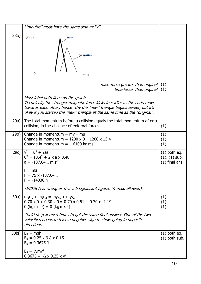|      | "Impulse" must have the same sign as "v".                                                                                                                                                                                                                                    |                                                          |
|------|------------------------------------------------------------------------------------------------------------------------------------------------------------------------------------------------------------------------------------------------------------------------------|----------------------------------------------------------|
| 28b) | force<br>new<br>original<br>0<br>time                                                                                                                                                                                                                                        |                                                          |
|      | max. force greater than original<br>time lesser than original $(1)$                                                                                                                                                                                                          | (1)                                                      |
|      | Must label both lines on the graph.<br>Technically the stronger magnetic force kicks in earlier as the carts move<br>towards each other, hence why the "new" triangle begins earlier, but it's<br>okay if you started the "new" triangle at the same time as the "original". |                                                          |
| 29a) | The total momentum before a collision equals the total momentum after a<br>collision, in the absence of external forces.                                                                                                                                                     | (1)                                                      |
| 29b) | Change in momentum = $mv - mu$<br>Change in momentum = $1200 \times 0 - 1200 \times 13.4$<br>Change in momentum = $-16100$ kg ms <sup>-1</sup>                                                                                                                               | (1)<br>(1)<br>(1)                                        |
| 29c) | $v^2 = u^2 + 2as$<br>$0^2 = 13.4^2 + 2 \times a \times 0.48$<br>$a = -187.04$ m s <sup>-1</sup><br>$F = ma$                                                                                                                                                                  | $(1)$ both eq.<br>$(1)$ , $(1)$ sub.<br>$(1)$ final ans. |
|      | $F = 75 \times -187.04$<br>$F = -14030 N$                                                                                                                                                                                                                                    |                                                          |
|      | -14028 N is wrong as this is 5 significant figures (4 max. allowed).                                                                                                                                                                                                         |                                                          |
| 30a) | $m_1u_1 + m_2u_2 = m_1v_1 + m_2v_2$<br>$0.70 \times 0 + 0.30 \times 0 = 0.70 \times 0.51 + 0.30 \times -1.19$<br>0 (kg m s <sup>-1</sup> ) = 0 (kg m s <sup>-1</sup> )                                                                                                       | (1)<br>(1)<br>(1)                                        |
|      | Could do $p = mv$ 4 times to get the same final answer. One of the two<br>velocities needs to have a negative sign to show going in opposite<br>directions.                                                                                                                  |                                                          |
|      | $30bi$ ) $E_p = mgh$<br>$E_p = 0.25 \times 9.8 \times 0.15$<br>$E_p = 0.3675$ J                                                                                                                                                                                              | $(1)$ both eq.<br>$(1)$ both sub.                        |
|      | $E_k = 1/2mv^2$<br>$0.3675 = \frac{1}{2} \times 0.25 \times \frac{1}{2}$                                                                                                                                                                                                     |                                                          |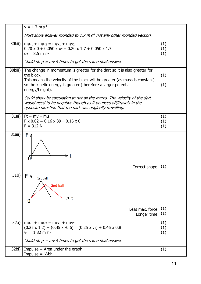|         | $v = 1.7$ m s <sup>-1</sup>                                                                                                                                                                                                            |                   |
|---------|----------------------------------------------------------------------------------------------------------------------------------------------------------------------------------------------------------------------------------------|-------------------|
|         | Must show answer rounded to 1.7 $ms1$ not any other rounded version.                                                                                                                                                                   |                   |
| 30bii)  | $m_1u_1 + m_2u_2 = m_1v_1 + m_2v_2$<br>$0.20 \times 0 + 0.050 \times u_2 = 0.20 \times 1.7 + 0.050 \times 1.7$<br>$u_2 = 8.5$ m s <sup>-1</sup>                                                                                        | (1)<br>(1)<br>(1) |
|         | Could do $p = mv$ 4 times to get the same final answer.                                                                                                                                                                                |                   |
| 30biii) | The change in momentum is greater for the dart so it is also greater for<br>the block.<br>This means the velocity of the block will be greater (as mass is constant)<br>so the kinetic energy is greater (therefore a larger potential | (1)               |
|         | energy/height).                                                                                                                                                                                                                        | (1)               |
|         | Could show by calculation to get all the marks. The velocity of the dart<br>would need to be negative though as it bounces off/travels in the<br>opposite direction that the dart was originally travelling.                           |                   |
| 31ai)   | $Ft = mv - mu$<br>$F \times 0.02 = 0.16 \times 39 - 0.16 \times 0$<br>$F = 312 N$                                                                                                                                                      | (1)<br>(1)<br>(1) |
| 31aii)  | FΛ                                                                                                                                                                                                                                     |                   |
|         | Correct shape                                                                                                                                                                                                                          | (1)               |
| 31b)    | F<br>1st ball<br>2nd ball                                                                                                                                                                                                              |                   |
|         | Less max, force<br>Longer time                                                                                                                                                                                                         | (1)<br>(1)        |
| 32a)    | $m_1u_1 + m_2u_2 = m_1v_1 + m_2v_2$<br>$(0.25 \times 1.2) + (0.45 \times -0.6) = (0.25 \times v_1) + 0.45 \times 0.8$<br>$v_1 = 1.32 \text{ m s}^{-1}$                                                                                 | (1)<br>(1)<br>(1) |
|         | Could do $p = mv$ 4 times to get the same final answer.                                                                                                                                                                                |                   |
| 32bi)   | Impulse $=$ Area under the graph<br>Impulse = $1/2bh$                                                                                                                                                                                  | (1)               |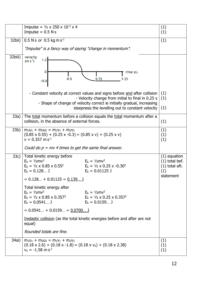|         | Impulse = $\frac{1}{2} \times 250 \times 10^{-3} \times 4$                                                                                                                                                                                                  |                                                                            |  |  |
|---------|-------------------------------------------------------------------------------------------------------------------------------------------------------------------------------------------------------------------------------------------------------------|----------------------------------------------------------------------------|--|--|
|         | Impulse = $0.5$ N s                                                                                                                                                                                                                                         | (1)<br>(1)                                                                 |  |  |
| 32bii)  | 0.5 N s or 0.5 kg m s <sup>-1</sup><br>(1)                                                                                                                                                                                                                  |                                                                            |  |  |
|         | "Impulse" is a fancy way of saying "change in momentum".                                                                                                                                                                                                    |                                                                            |  |  |
| 32biii) | velocity<br>$1-2$<br>$(m s-1)$<br>0<br>time (s)<br>0.5<br>0.75<br>$1 - 25$<br>$-0.8$                                                                                                                                                                        |                                                                            |  |  |
|         | - Constant velocity at correct values and signs before and after collision<br>- Velocity change from initial to final in 0.25 s                                                                                                                             | (1)<br>(1)                                                                 |  |  |
|         | - Shape of change of velocity correct ie initially gradual, increasing<br>steepness the levelling out to constant velocity                                                                                                                                  | (1)                                                                        |  |  |
| 33a)    | The total momentum before a collision equals the total momentum after a<br>collision, in the absence of external forces.                                                                                                                                    |                                                                            |  |  |
| 33b)    | $m_1u_1 + m_2u_2 = m_1v_1 + m_2v_2$<br>$(0.85 \times 0.55) + (0.25 \times -0.3) = (0.85 \times v) + (0.25 \times v)$<br>$v = 0.357$ m s <sup>-1</sup><br>Could do $p = mv$ 4 times to get the same final answer.                                            |                                                                            |  |  |
| 33c)    | Total kinetic energy before<br>$E_k = \frac{1}{2}mv^2$<br>$E_k = \frac{1}{2}mv^2$<br>$E_k = \frac{1}{2} \times 0.85 \times 0.55^2$<br>$E_k = \frac{1}{2} \times 0.25 \times -0.30^2$<br>$E_k = 0.01125$ J<br>$E_k = 0.128$ J<br>$= 0.128 + 0.01125 = 0.139$ | $(1)$ equation<br>$(1)$ total bef.<br>$(1)$ total aft.<br>(1)<br>statement |  |  |
|         | Total kinetic energy after<br>$E_k = \frac{1}{2}mv^2$<br>$E_k = \frac{1}{2}mv^2$<br>$E_k = \frac{1}{2} \times 0.85 \times 0.357^2$<br>$E_k = \frac{1}{2} \times 0.25 \times 0.357^2$<br>$E_k = 0.0541$ J<br>$E_k = 0.0159$ J                                |                                                                            |  |  |
|         | $= 0.0541 + 0.0159 = 0.0700$                                                                                                                                                                                                                                |                                                                            |  |  |
|         | Inelastic collision (as the total kinetic energies before and after are not<br>equal)                                                                                                                                                                       |                                                                            |  |  |
|         | Rounded totals are fine.                                                                                                                                                                                                                                    |                                                                            |  |  |
| 34ai)   | $m_1u_1 + m_2u_2 = m_1v_1 + m_2v_2$<br>$(0.18 \times 2.6) + (0.18 \times -1.8) = (0.18 \times v_2) + (0.18 \times 2.38)$<br>$v_2 = -1.58$ m s <sup>-1</sup>                                                                                                 | (1)<br>(1)<br>(1)                                                          |  |  |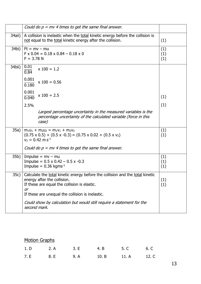|        | Could do $p = mv$ 4 times to get the same final answer.                                                                                                                                                                     |                   |
|--------|-----------------------------------------------------------------------------------------------------------------------------------------------------------------------------------------------------------------------------|-------------------|
| 34aii) | A collision is inelastic when the total kinetic energy before the collision is<br>not equal to the total kinetic energy after the collision.                                                                                | (1)               |
| 34bi)  | $Ft = mv - mu$<br>$F \times 0.04 = 0.18 \times 0.84 - 0.18 \times 0$<br>$F = 3.78 N$                                                                                                                                        | (1)<br>(1)<br>(1) |
| 34bii) | 0.01<br>$x 100 = 1.2$<br>0.84                                                                                                                                                                                               |                   |
|        | 0.001<br>$x 100 = 0.56$<br>0.180                                                                                                                                                                                            |                   |
|        | 0.001<br>$x 100 = 2.5$<br>0.040                                                                                                                                                                                             | (1)               |
|        | 2.5%                                                                                                                                                                                                                        | (1)               |
|        | Largest percentage uncertainty in the measured variables is the<br>percentage uncertainty of the calculated variable (force in this<br>case)                                                                                |                   |
| 35a)   | $m_1u_1 + m_2u_2 = m_1v_1 + m_2v_2$<br>$(0.75 \times 0.5) + (0.5 \times -0.3) = (0.75 \times 0.02 + (0.5 \times v_2))$<br>$v_2 = 0.42$ m s <sup>-1</sup>                                                                    | (1)<br>(1)        |
|        | Could do $p = mv$ 4 times to get the same final answer.                                                                                                                                                                     |                   |
| 35b)   | $Impulse = mv - mu$<br>Impulse = $0.5 \times 0.42 - 0.5 \times -0.3$<br>Impulse = $0.36$ kgms <sup>-1</sup>                                                                                                                 | (1)<br>(1)<br>(1) |
|        | 35c) Calculate the total kinetic energy before the collision and the total kinetic<br>energy after the collision.<br>If these are equal the collision is elastic.<br>or<br>If these are unequal the collision is inelastic. | (1)<br>(1)        |
|        | Could show by calculation but would still require a statement for the<br>second mark.                                                                                                                                       |                   |

| <b>Motion Graphs</b> |  |  |  |                                  |  |
|----------------------|--|--|--|----------------------------------|--|
|                      |  |  |  | 1. D 2. A 3. E 4. B 5. C 6. C    |  |
|                      |  |  |  | 7. E 8. E 9. A 10. B 11. A 12. C |  |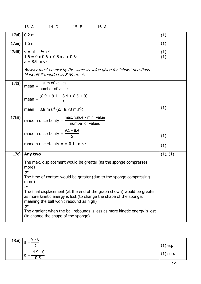| 17ai)   | 0.2 <sub>m</sub>                                                                                                                                                                                      | (1)        |
|---------|-------------------------------------------------------------------------------------------------------------------------------------------------------------------------------------------------------|------------|
| 17aii)  | 1.6 <sub>m</sub>                                                                                                                                                                                      | (1)        |
| 17aiii) | $s = ut + V2at2$<br>$1.6 = 0 \times 0.6 + 0.5 \times a \times 0.6^2$<br>$a = 8.9$ m s <sup>-2</sup><br>Answer must be exactly the same as value given for "show" questions.                           | (1)<br>(1) |
|         | Mark off if rounded as 8.89 m s $^{-2}$ .                                                                                                                                                             |            |
| 17bi)   | sum of values<br>$mean = -$<br>number of values                                                                                                                                                       |            |
|         | $\frac{(8.9 + 9.1 + 8.4 + 8.5 + 9)}{5}$<br>$mean =$                                                                                                                                                   |            |
|         | mean = $8.8 \text{ m s}^2$ (or $8.78 \text{ m s}^2$ )                                                                                                                                                 | (1)        |
| 17bii)  | max. value - min. value<br>random uncertainty $=$<br>number of values                                                                                                                                 |            |
|         | random uncertainty = $\frac{9.1 - 8.4}{5}$                                                                                                                                                            | (1)        |
|         | random uncertainty = $\pm$ 0.14 m s <sup>-2</sup>                                                                                                                                                     | (1)        |
| 17c)    | Any two                                                                                                                                                                                               | (1), (1)   |
|         | The max. displacement would be greater (as the sponge compresses<br>more)<br><b>or</b>                                                                                                                |            |
|         | The time of contact would be greater (due to the sponge compressing<br>more)<br><b>or</b>                                                                                                             |            |
|         | The final displacement (at the end of the graph shown) would be greater<br>as more kinetic energy is lost (to change the shape of the sponge,<br>meaning the ball won't rebound as high)<br><b>or</b> |            |
|         | The gradient when the ball rebounds is less as more kinetic energy is lost<br>(to change the shape of the sponge)                                                                                     |            |

| 13. A | 14. D | 15. E | 16. A |
|-------|-------|-------|-------|
|       |       |       |       |

| 18ai) | $V - U$<br>a                      | $(1)$ eq.  |
|-------|-----------------------------------|------------|
|       | -4.9 - 0<br>a<br>$\overline{0.5}$ | $(1)$ sub. |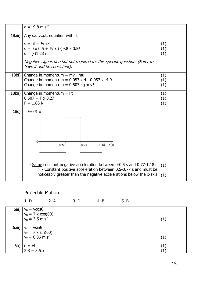|        | $a = -9.8$ m s <sup>-2</sup>                                                                                                                                                                                                                                   |            |  |  |
|--------|----------------------------------------------------------------------------------------------------------------------------------------------------------------------------------------------------------------------------------------------------------------|------------|--|--|
| 18aii) | Any s.u.v.a.t. equation with "t"<br>$s = ut + \frac{1}{2}at^2$<br>$s = 0 \times 0.5 + \frac{1}{2} \times (-)9.8 \times 0.5^2$<br>$s = (-1.23$ m<br>Negative sign is fine but not required for this specific question. (Safer to<br>have it and be consistent). |            |  |  |
| 18bi)  | Change in momentum $= mv - mu$<br>(1)<br>Change in momentum = $0.057 \times 4 - 0.057 \times -4.9$<br>(1)<br>Change in momentum = $0.507$ kg m s <sup>-1</sup><br>(1)                                                                                          |            |  |  |
| 18bii) | Change in momentum $=$ Ft<br>$0.507 = F \times 0.27$<br>$F = 1.88 N$                                                                                                                                                                                           |            |  |  |
| 18c)   | $a$ (m s-2)<br>0.<br>1.18 $t(s)$<br>0.50<br>0.77                                                                                                                                                                                                               |            |  |  |
|        | - Same constant negative acceleration between 0-0.5 s and 0.77-1.18 s<br>- Constant positive acceleration between 0.5-0.77 s and must be<br>noticeably greater than the negative accelerations below the x-axis                                                | (1)<br>(1) |  |  |
|        |                                                                                                                                                                                                                                                                |            |  |  |

## Projectile Motion

|     | 1. D                                                                                                                | 2. A | 3. D | 4. B | 5. B |     |
|-----|---------------------------------------------------------------------------------------------------------------------|------|------|------|------|-----|
|     | 6ai) $v_h = v\cos\theta$<br>$v_h = 7 \times \cos(60)$<br>$v_h = 3.5 \text{ m s}^{-1}$                               |      |      |      |      |     |
|     |                                                                                                                     |      |      |      |      | (1) |
|     | 6aii) $\begin{vmatrix} v_v = v \sin \theta \\ v_v = 7 \times \sin(60) \\ v_v = 6.06 \text{ m s}^{-1} \end{vmatrix}$ |      |      |      |      |     |
|     |                                                                                                                     |      |      |      |      | (1) |
| 6b) | $d = vt$                                                                                                            |      |      |      |      | (1) |
|     | $2.8 = 3.5 \times t$                                                                                                |      |      |      |      |     |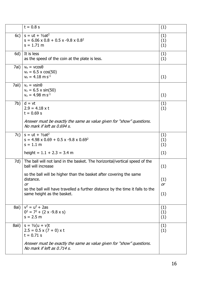|       | $t = 0.8 s$                                                                                                                                                                                                                                                                                                      | (1)                            |
|-------|------------------------------------------------------------------------------------------------------------------------------------------------------------------------------------------------------------------------------------------------------------------------------------------------------------------|--------------------------------|
| 6c)   | $s = ut + V2at2$<br>$s = 6.06 \times 0.8 + 0.5 \times -9.8 \times 0.8^2$<br>$s = 1.71$ m                                                                                                                                                                                                                         | (1)<br>(1)<br>(1)              |
| 6d)   | It is less<br>as the speed of the coin at the plate is less.                                                                                                                                                                                                                                                     | (1)<br>(1)                     |
| 7ai)  | $v_h = v \cos \theta$<br>$v_h = 6.5 \times \cos(50)$<br>$v_h = 4.18$ m s <sup>-1</sup>                                                                                                                                                                                                                           | (1)                            |
| 7aii) | $v_v = v \sin \theta$<br>$v_v = 6.5 \times \sin(50)$<br>$v_v = 4.98$ m s <sup>-1</sup>                                                                                                                                                                                                                           | (1)                            |
| 7b)   | $d = vt$<br>$2.9 = 4.18 \times t$<br>$t = 0.69 s$<br>Answer must be exactly the same as value given for "show" questions.<br>No mark if left as 0.694 s.                                                                                                                                                         | (1)<br>(1)                     |
| 7c)   | $s = ut + V2at2$<br>$s = 4.98 \times 0.69 + 0.5 \times -9.8 \times 0.69^2$<br>$s = 1.1 m$<br>height = $1.1 + 2.3 = 3.4$ m                                                                                                                                                                                        | (1)<br>(1)<br>(1)<br>(1)       |
| 7d)   | The ball will not land in the basket. The horizontal/vertical speed of the<br>ball will increase<br>so the ball will be higher than the basket after covering the same<br>distance.<br><b>or</b><br>so the ball will have travelled a further distance by the time it falls to the<br>same height as the basket. | (1)<br>(1)<br><b>or</b><br>(1) |
| 8ai)  | $v^2 = u^2 + 2as$<br>$0^2 = 7^2 + (2 \times -9.8 \times s)$<br>$s = 2.5 m$                                                                                                                                                                                                                                       | (1)<br>(1)<br>(1)              |
| 8aii) | $s = \frac{1}{2}(u + v)t$<br>$2.5 = 0.5 \times (7 + 0) \times t$<br>$t = 0.71 s$<br>Answer must be exactly the same as value given for "show" questions.<br>No mark if left as 0.714 s.                                                                                                                          | (1)<br>(1)                     |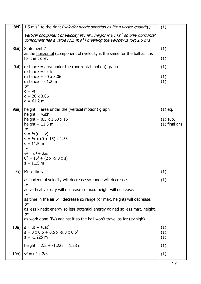|                 | 8bi)   1.5 m s <sup>-1</sup> to the right ( <i>velocity needs direction as it's a vector quantity</i> ).                                                                  | (1)              |
|-----------------|---------------------------------------------------------------------------------------------------------------------------------------------------------------------------|------------------|
|                 | Vertical component of velocity at max. height is 0 m s <sup>1</sup> so only horizontal<br>component has a value (1.5 m $s^1$ ) meaning the velocity is just 1.5 m $s^1$ . |                  |
| 8bii)           | Statement Z                                                                                                                                                               | (1)              |
|                 | as the <u>horizontal</u> (component of) velocity is the same for the ball as it is<br>for the trolley.                                                                    | (1)              |
| 9ai)            | $distance = area$ under the (horizontal motion) graph<br>distance $=$ $\vert x \vert$                                                                                     | (1)              |
|                 | distance = $20 \times 3.06$<br>distance = $61.2 m$                                                                                                                        | (1)<br>(1)       |
|                 | <b>or</b><br>$d = vt$                                                                                                                                                     |                  |
|                 | $d = 20 \times 3.06$<br>$d = 61.2 m$                                                                                                                                      |                  |
| 9aii)           | height = area under the (vertical motion) graph                                                                                                                           | $(1)$ eq.        |
|                 | height = $1/2bh$<br>height = $0.5 \times 1.53 \times 15$                                                                                                                  | $(1)$ sub.       |
|                 | height $= 11.5$ m<br><b>or</b>                                                                                                                                            | $(1)$ final ans. |
|                 | $s = \frac{1}{2}(u + v)t$                                                                                                                                                 |                  |
|                 | $s = \frac{1}{2} \times (0 + 15) \times 1.53$<br>$s = 11.5 m$                                                                                                             |                  |
|                 | <b>or</b><br>$v^2 = u^2 + 2as$                                                                                                                                            |                  |
|                 | $0^2 = 15^2 + (2 \times -9.8 \times s)$                                                                                                                                   |                  |
|                 | $s = 11.5 m$                                                                                                                                                              |                  |
| 9b)             | More likely                                                                                                                                                               | (1)              |
|                 | as horizontal velocity will decrease so range will decrease.                                                                                                              | (1)              |
|                 | <b>or</b><br>as vertical velocity will decrease so max. height will decrease.<br>or                                                                                       |                  |
|                 | as time in the air will decrease so range (or max. height) will decrease.<br><b>or</b>                                                                                    |                  |
|                 | as less kinetic energy so less potential energy gained so less max. height.<br>or                                                                                         |                  |
|                 | as work done $(E_w)$ against it so the ball won't travel as far ( <i>or</i> high).                                                                                        |                  |
| 10a)            | $s = ut + V2at2$<br>$s = 0 \times 0.5 + 0.5 \times -9.8 \times 0.5^2$                                                                                                     | (1)<br>(1)       |
|                 | $s = -1.225 m$                                                                                                                                                            | (1)              |
|                 | height = $2.5 + -1.225 = 1.28$ m                                                                                                                                          | (1)              |
| 10 <sub>b</sub> | $v^2 = u^2 + 2as$                                                                                                                                                         | (1)              |
|                 |                                                                                                                                                                           |                  |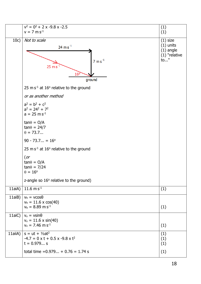|         | $v^2 = 0^2 + 2 \times -9.8 \times -2.5$<br>$v = 7$ m s <sup>-1</sup>                                                 | (1)<br>(1)                                                         |
|---------|----------------------------------------------------------------------------------------------------------------------|--------------------------------------------------------------------|
| 10c)    | Not to scale<br>$24 \text{ m s}^{-1}$<br>7 $\mathrm{m\,s}^{\text{-}1}$<br>$25 \text{ m s}$<br>$16^{\circ}$<br>ground | $(1)$ size<br>$(1)$ units<br>$(1)$ angle<br>$(1)$ "relative<br>to" |
|         | 25 m $s^{-1}$ at 16 $\degree$ relative to the ground                                                                 |                                                                    |
|         | or as another method                                                                                                 |                                                                    |
|         | $a^2 = b^2 + c^2$<br>$a^2 = 24^2 + 7^2$<br>$a = 25$ m s <sup>-1</sup>                                                |                                                                    |
|         | $tan\theta = O/A$<br>$tan\theta = 24/7$<br>$\theta = 73.7$                                                           |                                                                    |
|         | $90 - 73.7 = 16^{\circ}$                                                                                             |                                                                    |
|         | 25 m $s^{-1}$ at 16 $\degree$ relative to the ground                                                                 |                                                                    |
|         | $($ or<br>$tan\theta = O/A$<br>$tan\theta = 7/24$<br>$\theta = 16^{\circ}$                                           |                                                                    |
|         | z-angle so 16° relative to the ground)                                                                               |                                                                    |
|         | 11aiA) 11.6 m $\overline{s^{-1}}$                                                                                    | (1)                                                                |
| 11aiB)  | $v_h = v \cos \theta$<br>$v_h = 11.6 \times \cos(40)$<br>$v_h = 8.89$ m s <sup>-1</sup>                              | (1)                                                                |
|         | 11aiC) $v_v = v \sin \theta$<br>$v_v = 11.6 \times \sin(40)$<br>$v_v = 7.46$ m s <sup>-1</sup>                       | (1)                                                                |
| 11aiiA) | $s = ut + V2at2$<br>$-4.7 = 0 \times t + 0.5 \times -9.8 \times t^2$<br>$t = 0.979$                                  | (1)<br>(1)<br>(1)                                                  |
|         | total time = $0.979 + 0.76 = 1.74$ s                                                                                 | (1)                                                                |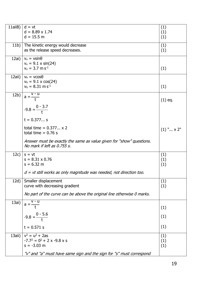| 11aiB) | $d = vt$                                                                                            | (1)                 |
|--------|-----------------------------------------------------------------------------------------------------|---------------------|
|        | $d = 8.89 \times 1.74$                                                                              | (1)                 |
|        | $d = 15.5 m$                                                                                        | (1)                 |
| 11b)   | The kinetic energy would decrease                                                                   | (1)                 |
|        | as the release speed decreases.                                                                     | (1)                 |
| 12ai)  | $v_v = v \sin \theta$                                                                               |                     |
|        | $v_v = 9.1 \times \sin(24)$                                                                         |                     |
|        | $v_v = 3.7$ m s <sup>-1</sup>                                                                       | (1)                 |
| 12aii) | $v_h = v \cos \theta$                                                                               |                     |
|        | $v_h = 9.1 \times \cos(24)$<br>$v_h = 8.31 \text{ m s}^{-1}$                                        |                     |
|        |                                                                                                     | (1)                 |
| 12b)   | $V - U$<br>$a = \frac{1}{t}$                                                                        |                     |
|        |                                                                                                     | $(1)$ eq.           |
|        | $-9.8 = \frac{0 - 3.7}{t}$                                                                          |                     |
|        |                                                                                                     |                     |
|        | $t = 0.377$                                                                                         |                     |
|        | total time = $0.377 \times 2$                                                                       | $(1)$ " $\times$ 2" |
|        | total time = $0.76$ s                                                                               |                     |
|        | Answer must be exactly the same as value given for "show" questions.<br>No mark if left as 0.755 s. |                     |
| 12c)   | $s = vt$                                                                                            | (1)                 |
|        | $s = 8.31 \times 0.76$                                                                              | (1)                 |
|        | $s = 6.32$ m                                                                                        | (1)                 |
|        | $d = vt$ still works as only magnitude was needed, not direction too.                               |                     |
| 12d)   | Smaller displacement                                                                                | (1)                 |
|        | curve with decreasing gradient                                                                      | (1)                 |
|        | No part of the curve can be above the original line otherwise 0 marks.                              |                     |
| 13ai)  | $a = -$                                                                                             |                     |
|        |                                                                                                     | (1)                 |
|        | $-9.8 = \frac{0 - 5.6}{t}$                                                                          | (1)                 |
|        |                                                                                                     |                     |
|        | $t = 0.571 s$                                                                                       | (1)                 |
| 13aii) | $v^2 = u^2 + 2as$                                                                                   | (1)                 |
|        | $-7.7^2 = 0^2 + 2 \times -9.8 \times$ s                                                             | (1)                 |
|        | $s = -3.03$ m                                                                                       | (1)                 |
|        | "v" and "a" must have same sign and the sign for "s" must correspond                                |                     |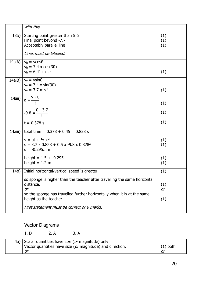|         | with this.                                                                                                                                                                                                                                              |                   |
|---------|---------------------------------------------------------------------------------------------------------------------------------------------------------------------------------------------------------------------------------------------------------|-------------------|
| 13b)    | Starting point greater than 5.6<br>Final point beyond -7.7<br>Acceptably parallel line<br>Lines must be labelled.                                                                                                                                       | (1)<br>(1)<br>(1) |
|         |                                                                                                                                                                                                                                                         |                   |
| 14aiA)  | $v_h = v \cos \theta$<br>$v_h = 7.4 \times \cos(30)$<br>$v_h = 6.41$ m s <sup>-1</sup>                                                                                                                                                                  | (1)               |
| 14aiB)  | $v_v = v \sin \theta$<br>$v_v = 7.4 \times \sin(30)$                                                                                                                                                                                                    |                   |
|         | $v_v = 3.7$ m s <sup>-1</sup>                                                                                                                                                                                                                           | (1)               |
| 14aii)  | $\overline{v}$ - $\overline{u}$<br>$a = \frac{1}{t}$                                                                                                                                                                                                    | (1)               |
|         | $-9.8 = \frac{0 - 3.7}{t}$                                                                                                                                                                                                                              | (1)               |
|         | $t = 0.378$ s                                                                                                                                                                                                                                           | (1)               |
| 14aiii) | total time = $0.378 + 0.45 = 0.828$ s                                                                                                                                                                                                                   |                   |
|         | $s = ut + \frac{1}{2}at^2$<br>$s = 3.7 \times 0.828 + 0.5 \times -9.8 \times 0.828^2$<br>$s = -0.295$ m                                                                                                                                                 | (1)<br>(1)        |
|         | height = $1.5 + -0.295$<br>height $= 1.2$ m                                                                                                                                                                                                             | (1)<br>(1)        |
| 14b)    | Initial horizontal/vertical speed is greater                                                                                                                                                                                                            | (1)               |
|         | so sponge is higher than the teacher after travelling the same horizontal<br>distance.<br><b>or</b><br>so the sponge has travelled further horizontally when it is at the same<br>height as the teacher.<br>First statement must be correct or 0 marks. | (1)<br>or<br>(1)  |
|         |                                                                                                                                                                                                                                                         |                   |

## Vector Diagrams

1. D 2. A 3. A

| 4a) Scalar quantities have size (or magnitude) only       |            |
|-----------------------------------------------------------|------------|
| Vector quantities have size (or magnitude) and direction. | $(1)$ both |
| or                                                        |            |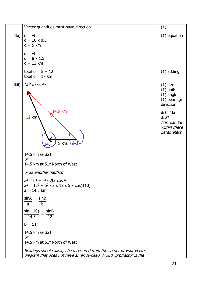|       | Vector quantities must have direction                                                                                                                                                                                                                            | (1)                                                                                                                                          |
|-------|------------------------------------------------------------------------------------------------------------------------------------------------------------------------------------------------------------------------------------------------------------------|----------------------------------------------------------------------------------------------------------------------------------------------|
| 4bi)  | $d = vt$<br>$d = 10 \times 0.5$<br>$d = 5$ km<br>$d = vt$<br>$d = 8 \times 1.5$<br>$d = 12$ km                                                                                                                                                                   | $(1)$ equation                                                                                                                               |
|       | total $d = 5 + 12$<br>total $d = 17$ km                                                                                                                                                                                                                          | $(1)$ adding                                                                                                                                 |
| 4bii) | Not to scale<br>14.5 km<br>12 km<br>5 km 321°<br>14.5 km @ 321<br><b>or</b><br>14.5 km at 51° North of West<br>or as another method<br>$a^2 = b^2 + c^2$ - 2bc cos A<br>$a^2 = 12^2 + 5^2 - 2 \times 12 \times 5 \times \cos(110)$<br>$a = 14.5$ km<br>sinA sinB | $(1)$ size<br>$(1)$ units<br>$(1)$ angle<br>$(1)$ bearing/<br>direction<br>$\pm$ 0.2 km<br>± 2°<br>Ans. can be<br>within these<br>parameters |
|       | $\overline{b}$<br>$\overline{a}$<br>$sin(110)$ $sinB$<br>$\frac{14.5}{14.5}$ = $\frac{12}{12}$<br>$B = 51^{\circ}$<br>14.5 km @ 321<br><b>or</b>                                                                                                                 |                                                                                                                                              |
|       | 14.5 km at 51° North of West<br>Bearings should always be measured from the corner of your vector<br>diagram that does not have an arrowhead. A 360° protractor is the                                                                                           |                                                                                                                                              |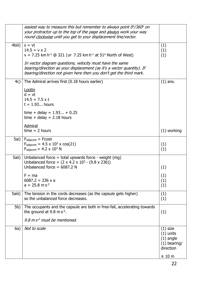|        | easiest way to measure this but remember to always point $0^\circ/360^\circ$ on<br>your protractor up to the top of the page and always work your way<br>round clockwise until you get to your displacement line/vector.                                                                                                                                |                                                                                   |
|--------|---------------------------------------------------------------------------------------------------------------------------------------------------------------------------------------------------------------------------------------------------------------------------------------------------------------------------------------------------------|-----------------------------------------------------------------------------------|
| 4biii) | $s = vt$<br>$14.5 = v \times 2$<br>v = 7.25 km h <sup>-1</sup> @ 321 ( <i>or</i> 7.25 km h <sup>-1</sup> at 51 <sup>o</sup> North of West)<br>In vector diagram questions, velocity must have the same<br>bearing/direction as your displacement (as it's a vector quantity). If<br>bearing/direction not given here then you don't get the third mark. | (1)<br>(1)<br>(1)                                                                 |
| 4c)    | The Admiral arrives first (0.18 hours earlier)<br>Lootin<br>$d = vt$<br>$14.5 = 7.5 \times t$<br>$t = 1.93$ hours<br>time + delay = $1.93 + 0.25$<br>time + delay = $2.18$ hours<br>Admiral                                                                                                                                                             | $(1)$ ans.                                                                        |
|        | $time = 2 hours$                                                                                                                                                                                                                                                                                                                                        | $(1)$ working                                                                     |
| 5ai)   | $F_{\text{adjacent}} = F\cos\theta$<br>$F_{\text{adjacent}} = 4.5 \times 10^3 \times \cos(21)$<br>$F_{\text{adiacent}} = 4.2 \times 10^3$ N                                                                                                                                                                                                             | (1)<br>(1)                                                                        |
| 5aii)  | Unbalanced force = total upwards force - weight $(mg)$<br>Unbalanced force = $(2 \times 4.2 \times 10^3 - (9.8 \times 236))$<br>Unbalanced force = $6087.2$ N<br>$F = ma$<br>$6087.2 = 236 \times a$<br>$a = 25.8$ m s <sup>-2</sup>                                                                                                                    | (1)<br>(1)<br>(1)<br>(1)                                                          |
| 5aiii) | The tension in the cords decreases (as the capsule gets higher)<br>so the unbalanced force decreases.                                                                                                                                                                                                                                                   | (1)<br>(1)                                                                        |
| 5b)    | The occupants and the capsule are both in free-fall, accelerating towards<br>the ground at 9.8 m $s^{-2}$ .<br>9.8 $m s2$ must be mentioned.                                                                                                                                                                                                            | (1)                                                                               |
| 6a)    | Not to scale                                                                                                                                                                                                                                                                                                                                            | $(1)$ size<br>$(1)$ units<br>$(1)$ angle<br>$(1)$ bearing/<br>direction<br>± 10 m |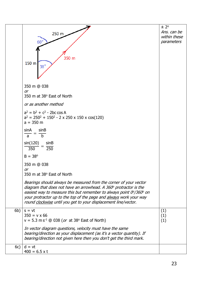|     |                                                                                                                                                                                                                                                                                                                                                                    | ± 2°         |
|-----|--------------------------------------------------------------------------------------------------------------------------------------------------------------------------------------------------------------------------------------------------------------------------------------------------------------------------------------------------------------------|--------------|
|     | 250 m                                                                                                                                                                                                                                                                                                                                                              | Ans. can be  |
|     |                                                                                                                                                                                                                                                                                                                                                                    | within these |
|     | $60^\circ$                                                                                                                                                                                                                                                                                                                                                         | parameters   |
|     | 350 m<br>150 m<br>$38^\circ$                                                                                                                                                                                                                                                                                                                                       |              |
|     | 350 m @ 038<br><b>or</b>                                                                                                                                                                                                                                                                                                                                           |              |
|     | 350 m at 38° East of North                                                                                                                                                                                                                                                                                                                                         |              |
|     | or as another method                                                                                                                                                                                                                                                                                                                                               |              |
|     | $a^2 = b^2 + c^2$ - 2bc cos A<br>$a^2 = 250^2 + 150^2 - 2 \times 250 \times 150 \times \cos(120)$<br>$a = 350$ m                                                                                                                                                                                                                                                   |              |
|     | sinA<br>sinB<br>$=$ $\frac{1}{b}$<br>$\overline{a}$                                                                                                                                                                                                                                                                                                                |              |
|     | sin(120)<br>sinB<br>350<br>$\overline{250}$                                                                                                                                                                                                                                                                                                                        |              |
|     | $B = 38^{\circ}$                                                                                                                                                                                                                                                                                                                                                   |              |
|     | 350 m @ 038                                                                                                                                                                                                                                                                                                                                                        |              |
|     | or<br>350 m at 38 $^{\rm o}$ East of North                                                                                                                                                                                                                                                                                                                         |              |
|     | Bearings should always be measured from the corner of your vector<br>diagram that does not have an arrowhead. A 360° protractor is the<br>easiest way to measure this but remember to always point $0^\circ/360^\circ$ on<br>your protractor up to the top of the page and always work your way<br>round clockwise until you get to your displacement line/vector. |              |
| 6b) | $s = vt$                                                                                                                                                                                                                                                                                                                                                           | (1)          |
|     | $350 = v \times 66$                                                                                                                                                                                                                                                                                                                                                | (1)          |
|     | $v = 5.3 \text{ m s}^{-1}$ @ 038 ( <i>or</i> at 38° East of North)                                                                                                                                                                                                                                                                                                 | (1)          |
|     | In vector diagram questions, velocity must have the same<br>bearing/direction as your displacement (as it's a vector quantity). If<br>bearing/direction not given here then you don't get the third mark.                                                                                                                                                          |              |
| 6c) | $d = vt$                                                                                                                                                                                                                                                                                                                                                           |              |
|     | $400 = 6.5 \times t$                                                                                                                                                                                                                                                                                                                                               |              |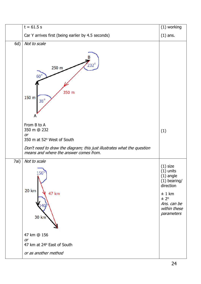|      | $t = 61.5 s$                                                                                                                                                                               | (1) working                                                                                                                            |
|------|--------------------------------------------------------------------------------------------------------------------------------------------------------------------------------------------|----------------------------------------------------------------------------------------------------------------------------------------|
|      | Car Y arrives first (being earlier by 4.5 seconds)                                                                                                                                         | $(1)$ ans.                                                                                                                             |
| 6d)  | Not to scale<br>В<br>$232^\circ$<br>250 m<br>$60^\circ$<br>350 m<br>150 m<br>$38^{\circ}$<br>Α                                                                                             |                                                                                                                                        |
|      | From B to A<br>350 m @ 232<br><b>or</b><br>350 m at 52° West of South<br>Don't need to draw the diagram; this just illustrates what the question<br>means and where the answer comes from. | (1)                                                                                                                                    |
| 7ai) | Not to scale<br>$156^\circ$<br>20 km<br>47 km<br>30 km<br>47 km @ 156<br><b>or</b><br>47 km at 24° East of South                                                                           | $(1)$ size<br>$(1)$ units<br>$(1)$ angle<br>$(1)$ bearing/<br>direction<br>± 1 km<br>± 2°<br>Ans. can be<br>within these<br>parameters |
|      | or as another method                                                                                                                                                                       |                                                                                                                                        |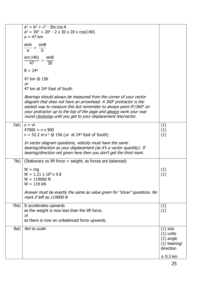|       |                                                                                                                                                                                                                                                                                                                                                        | direction<br>$\pm$ 0.3 km                    |
|-------|--------------------------------------------------------------------------------------------------------------------------------------------------------------------------------------------------------------------------------------------------------------------------------------------------------------------------------------------------------|----------------------------------------------|
|       |                                                                                                                                                                                                                                                                                                                                                        | $(1)$ units<br>$(1)$ angle<br>$(1)$ bearing/ |
| 8ai)  | as there is now an unbalanced force upwards.<br>Not to scale                                                                                                                                                                                                                                                                                           | $(1)$ size                                   |
| 7bii) | It accelerates upwards<br>as the weight is now less than the lift force.<br><b>or</b>                                                                                                                                                                                                                                                                  | (1)<br>(1)                                   |
|       | $W = 119$ kN<br>Answer must be exactly the same as value given for "show" questions. No<br>mark if left as 119000 N                                                                                                                                                                                                                                    |                                              |
| 7bi)  | (Stationary so lift force = weight, as forces are balanced)<br>$W = mg$<br>$W = 1.21 \times 10^4 \times 9.8$<br>$W = 119000 N$                                                                                                                                                                                                                         | (1)<br>(1)                                   |
|       | $v = 52.2 \text{ m s}^{-1}$ @ 156 ( <i>or</i> at 24 <sup>o</sup> East of South)<br>In vector diagram questions, velocity must have the same<br>bearing/direction as your displacement (as it's a vector quantity). If<br>bearing/direction not given here then you don't get the third mark.                                                           | (1)                                          |
| 7aii) | $s = vt$<br>$47000 = v \times 900$                                                                                                                                                                                                                                                                                                                     | (1)<br>(1)                                   |
|       | Bearings should always be measured from the corner of your vector<br>diagram that does not have an arrowhead. A 360° protractor is the<br>easiest way to measure this but remember to always point 0°/360° on<br>your protractor up to the top of the page and always work your way<br>round clockwise until you get to your displacement line/vector. |                                              |
|       | 47 km @ 156<br><b>or</b><br>47 km at 24° East of South                                                                                                                                                                                                                                                                                                 |                                              |
|       | $B = 24^{\circ}$                                                                                                                                                                                                                                                                                                                                       |                                              |
|       | b<br>$\mathsf{a}$<br>sin(140)<br>sinB<br>$\overline{30}$<br>47                                                                                                                                                                                                                                                                                         |                                              |
|       | $a^2 = 30^2 + 20^2 - 2 \times 30 \times 20 \times \cos(140)$<br>$a = 47$ km<br>sinA<br>sinB                                                                                                                                                                                                                                                            |                                              |
|       | $a^2 = b^2 + c^2$ - 2bc cos A                                                                                                                                                                                                                                                                                                                          |                                              |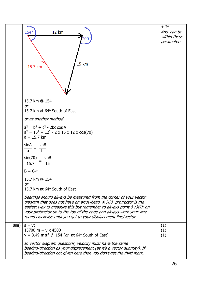|       | $154^\circ$<br>12 km<br>$200^\circ$<br>15 km<br>15.7 km                                                                                                                                                                                                                                                                                                            | ± 2°<br>Ans. can be<br>within these<br>parameters |
|-------|--------------------------------------------------------------------------------------------------------------------------------------------------------------------------------------------------------------------------------------------------------------------------------------------------------------------------------------------------------------------|---------------------------------------------------|
|       | 15.7 km @ 154<br><b>or</b><br>15.7 km at 64° South of East                                                                                                                                                                                                                                                                                                         |                                                   |
|       | or as another method                                                                                                                                                                                                                                                                                                                                               |                                                   |
|       | $a^2 = b^2 + c^2$ - 2bc cos A<br>$a^2 = 15^2 + 12^2 - 2 \times 15 \times 12 \times \cos(70)$<br>$a = 15.7$ km                                                                                                                                                                                                                                                      |                                                   |
|       | sinA<br>sinB<br>$\overline{b}$<br>$\mathsf{a}$                                                                                                                                                                                                                                                                                                                     |                                                   |
|       | sin(70)<br>sinB<br>$\frac{15.7}{15.7}$ = $\frac{1}{15}$                                                                                                                                                                                                                                                                                                            |                                                   |
|       | $B = 64^{\circ}$                                                                                                                                                                                                                                                                                                                                                   |                                                   |
|       | 15.7 km @ 154<br>or                                                                                                                                                                                                                                                                                                                                                |                                                   |
|       | 15.7 km at 64° South of East                                                                                                                                                                                                                                                                                                                                       |                                                   |
|       | Bearings should always be measured from the corner of your vector<br>diagram that does not have an arrowhead. A 360° protractor is the<br>easiest way to measure this but remember to always point $0^\circ/360^\circ$ on<br>your protractor up to the top of the page and always work your way<br>round clockwise until you get to your displacement line/vector. |                                                   |
| 8aii) | $s = vt$<br>15700 m = $v \times 4500$<br>$v = 3.49 \text{ m s}^{-1}$ @ 154 ( <i>or</i> at 64 <sup>o</sup> South of East)                                                                                                                                                                                                                                           | (1)<br>(1)<br>(1)                                 |
|       | In vector diagram questions, velocity must have the same<br>bearing/direction as your displacement (as it's a vector quantity). If<br>bearing/direction not given here then you don't get the third mark.                                                                                                                                                          |                                                   |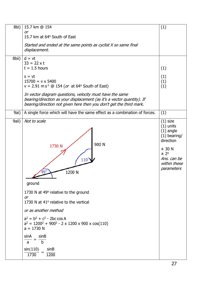| 8bi)  | 15.7 km @ 154<br>or<br>15.7 km at 64° South of East                                                                                                                                                                                                                                                                                                                          | (1)                                                                                                                                    |
|-------|------------------------------------------------------------------------------------------------------------------------------------------------------------------------------------------------------------------------------------------------------------------------------------------------------------------------------------------------------------------------------|----------------------------------------------------------------------------------------------------------------------------------------|
|       | Started and ended at the same points as cyclist X so same final<br>displacement.                                                                                                                                                                                                                                                                                             |                                                                                                                                        |
| 8bii) | $d = vt$<br>$33 = 22 \times t$<br>$t = 1.5$ hours<br>$s = vt$<br>$15700 = v \times 5400$<br>$v = 2.91 \text{ m s}^{-1}$ @ 154 ( <i>or</i> at 64° South of East)<br>In vector diagram questions, velocity must have the same<br>bearing/direction as your displacement (as it's a vector quantity). If<br>bearing/direction not given here then you don't get the third mark. | (1)<br>(1)<br>(1)<br>(1)                                                                                                               |
| 9ai)  | A single force which will have the same effect as a combination of forces.                                                                                                                                                                                                                                                                                                   | (1)                                                                                                                                    |
| 9aii) | Not to scale<br>900 N<br>1730 N<br>$110^{\circ}$<br>$49^\circ$<br>1200 N<br>ground                                                                                                                                                                                                                                                                                           | $(1)$ size<br>$(1)$ units<br>$(1)$ angle<br>$(1)$ bearing/<br>direction<br>± 30 N<br>± 2°<br>Ans. can be<br>within these<br>parameters |
|       | 1730 N at 49° relative to the ground<br><b>or</b><br>1730 N at 41° relative to the vertical<br>or as another method<br>$a^2 = b^2 + c^2$ - 2bc cos A<br>$a^2 = 1200^2 + 900^2 - 2 \times 1200 \times 900 \times \cos(110)$<br>$a = 1730 N$<br>sinB<br>sinA<br>$\mathbf b$<br>$\mathsf{a}$<br>sin(110)<br>sinB<br>1200<br>1730                                                |                                                                                                                                        |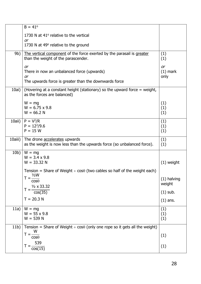|         | $B = 41^{\circ}$                                                                            |               |
|---------|---------------------------------------------------------------------------------------------|---------------|
|         | 1730 N at $41^\circ$ relative to the vertical                                               |               |
|         | or                                                                                          |               |
|         | 1730 N at 49° relative to the ground                                                        |               |
| 9b)     | The vertical component of the force exerted by the parasail is greater                      | (1)           |
|         | than the weight of the parascender.                                                         | (1)           |
|         | <b>or</b>                                                                                   | or            |
|         | There in now an unbalanced force (upwards)                                                  | $(1)$ mark    |
|         | or                                                                                          | only          |
|         | The upwards force is greater than the downwards force                                       |               |
| 10ai)   | (Hovering at a constant height (stationary) so the upward force = weight,                   |               |
|         | as the forces are balanced)                                                                 |               |
|         | $W = mg$                                                                                    | (1)           |
|         | $W = 6.75 \times 9.8$                                                                       | (1)           |
|         | $W = 66.2 N$                                                                                | (1)           |
| 10aii)  | $P = V^2/R$                                                                                 | (1)           |
|         | $P = 122/9.6$                                                                               | (1)           |
|         | $P = 15 W$                                                                                  | (1)           |
| 10aiii) | The drone accelerates upwards                                                               | (1)           |
|         | as the weight is now less than the upwards force (so unbalanced force).                     | (1)           |
|         |                                                                                             |               |
| 10b)    | $W = mg$<br>$W = 3.4 \times 9.8$                                                            |               |
|         | $W = 33.32 N$                                                                               | $(1)$ weight  |
|         |                                                                                             |               |
|         | Tension = Share of Weight $\div \cos\theta$ (two cables so half of the weight each)<br>1/2W |               |
|         | $T = \frac{1}{\cos \theta}$                                                                 | $(1)$ halving |
|         |                                                                                             | weight        |
|         | $T = \frac{V_2 \times 33.32}{\cos(35)}$                                                     | $(1)$ sub.    |
|         | $T = 20.3 N$                                                                                |               |
|         |                                                                                             | $(1)$ ans.    |
| 11a)    | $W = mg$                                                                                    | (1)           |
|         | $W = 55 \times 9.8$                                                                         | (1)           |
|         | $W = 539 N$                                                                                 | (1)           |
| 11b)    | Tension = Share of Weight $\div$ cos $\theta$ (only one rope so it gets all the weight)     |               |
|         | W                                                                                           | (1)           |
|         | $T = \frac{1}{\cos \theta}$                                                                 |               |
|         | 539                                                                                         | (1)           |
|         | $T = \frac{1}{\cos(15)}$                                                                    |               |